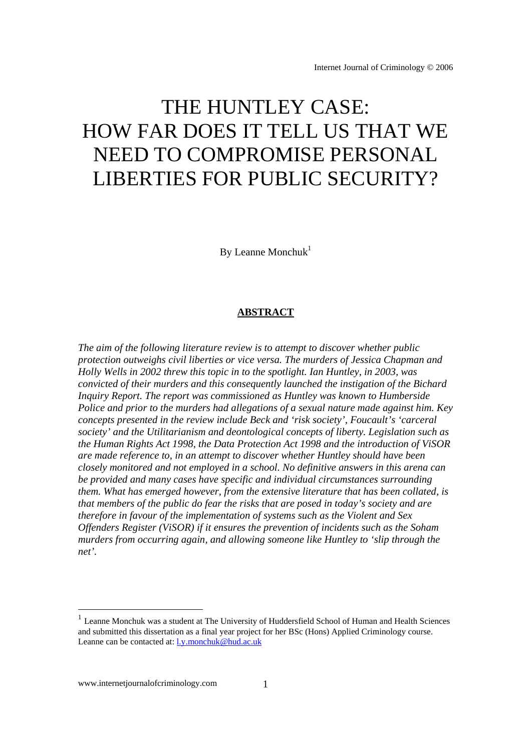# THE HUNTLEY CASE: HOW FAR DOES IT TELL US THAT WE NEED TO COMPROMISE PERSONAL LIBERTIES FOR PUBLIC SECURITY?

By Leanne Monchuk $1$ 

## **ABSTRACT**

*The aim of the following literature review is to attempt to discover whether public protection outweighs civil liberties or vice versa. The murders of Jessica Chapman and Holly Wells in 2002 threw this topic in to the spotlight. Ian Huntley, in 2003, was convicted of their murders and this consequently launched the instigation of the Bichard Inquiry Report. The report was commissioned as Huntley was known to Humberside Police and prior to the murders had allegations of a sexual nature made against him. Key concepts presented in the review include Beck and 'risk society', Foucault's 'carceral society' and the Utilitarianism and deontological concepts of liberty. Legislation such as the Human Rights Act 1998, the Data Protection Act 1998 and the introduction of ViSOR are made reference to, in an attempt to discover whether Huntley should have been closely monitored and not employed in a school. No definitive answers in this arena can be provided and many cases have specific and individual circumstances surrounding them. What has emerged however, from the extensive literature that has been collated, is that members of the public do fear the risks that are posed in today's society and are therefore in favour of the implementation of systems such as the Violent and Sex Offenders Register (ViSOR) if it ensures the prevention of incidents such as the Soham murders from occurring again, and allowing someone like Huntley to 'slip through the net'.* 

<sup>&</sup>lt;sup>1</sup> Leanne Monchuk was a student at The University of Huddersfield School of Human and Health Sciences and submitted this dissertation as a final year project for her BSc (Hons) Applied Criminology course. Leanne can be contacted at: l.y.monchuk@hud.ac.uk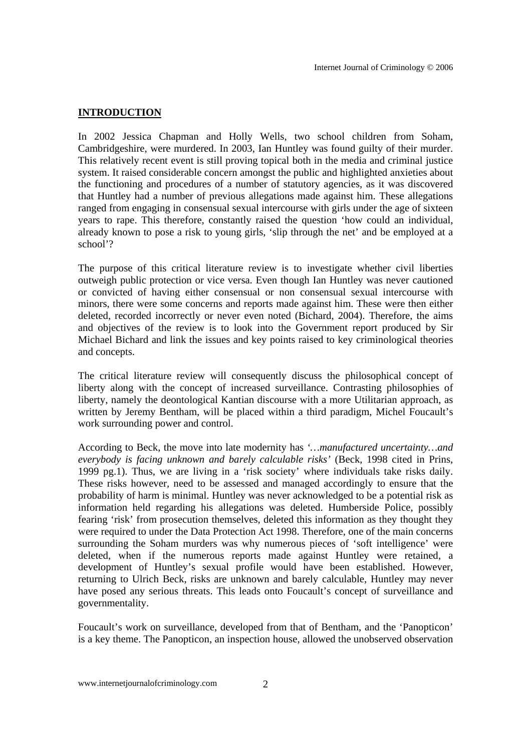## **INTRODUCTION**

In 2002 Jessica Chapman and Holly Wells, two school children from Soham, Cambridgeshire, were murdered. In 2003, Ian Huntley was found guilty of their murder. This relatively recent event is still proving topical both in the media and criminal justice system. It raised considerable concern amongst the public and highlighted anxieties about the functioning and procedures of a number of statutory agencies, as it was discovered that Huntley had a number of previous allegations made against him. These allegations ranged from engaging in consensual sexual intercourse with girls under the age of sixteen years to rape. This therefore, constantly raised the question 'how could an individual, already known to pose a risk to young girls, 'slip through the net' and be employed at a school'?

The purpose of this critical literature review is to investigate whether civil liberties outweigh public protection or vice versa. Even though Ian Huntley was never cautioned or convicted of having either consensual or non consensual sexual intercourse with minors, there were some concerns and reports made against him. These were then either deleted, recorded incorrectly or never even noted (Bichard, 2004). Therefore, the aims and objectives of the review is to look into the Government report produced by Sir Michael Bichard and link the issues and key points raised to key criminological theories and concepts.

The critical literature review will consequently discuss the philosophical concept of liberty along with the concept of increased surveillance. Contrasting philosophies of liberty, namely the deontological Kantian discourse with a more Utilitarian approach, as written by Jeremy Bentham, will be placed within a third paradigm, Michel Foucault's work surrounding power and control.

According to Beck, the move into late modernity has *'…manufactured uncertainty…and everybody is facing unknown and barely calculable risks'* (Beck, 1998 cited in Prins, 1999 pg.1). Thus, we are living in a 'risk society' where individuals take risks daily. These risks however, need to be assessed and managed accordingly to ensure that the probability of harm is minimal. Huntley was never acknowledged to be a potential risk as information held regarding his allegations was deleted. Humberside Police, possibly fearing 'risk' from prosecution themselves, deleted this information as they thought they were required to under the Data Protection Act 1998. Therefore, one of the main concerns surrounding the Soham murders was why numerous pieces of 'soft intelligence' were deleted, when if the numerous reports made against Huntley were retained, a development of Huntley's sexual profile would have been established. However, returning to Ulrich Beck, risks are unknown and barely calculable, Huntley may never have posed any serious threats. This leads onto Foucault's concept of surveillance and governmentality.

Foucault's work on surveillance, developed from that of Bentham, and the 'Panopticon' is a key theme. The Panopticon, an inspection house, allowed the unobserved observation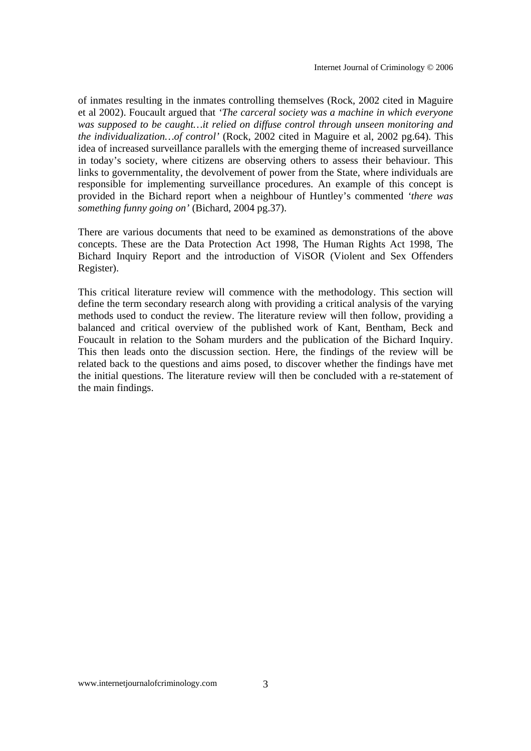of inmates resulting in the inmates controlling themselves (Rock, 2002 cited in Maguire et al 2002). Foucault argued that *'The carceral society was a machine in which everyone was supposed to be caught…it relied on diffuse control through unseen monitoring and the individualization…of control'* (Rock, 2002 cited in Maguire et al, 2002 pg.64). This idea of increased surveillance parallels with the emerging theme of increased surveillance in today's society, where citizens are observing others to assess their behaviour. This links to governmentality, the devolvement of power from the State, where individuals are responsible for implementing surveillance procedures. An example of this concept is provided in the Bichard report when a neighbour of Huntley's commented *'there was something funny going on'* (Bichard, 2004 pg.37).

There are various documents that need to be examined as demonstrations of the above concepts. These are the Data Protection Act 1998, The Human Rights Act 1998, The Bichard Inquiry Report and the introduction of ViSOR (Violent and Sex Offenders Register).

This critical literature review will commence with the methodology. This section will define the term secondary research along with providing a critical analysis of the varying methods used to conduct the review. The literature review will then follow, providing a balanced and critical overview of the published work of Kant, Bentham, Beck and Foucault in relation to the Soham murders and the publication of the Bichard Inquiry. This then leads onto the discussion section. Here, the findings of the review will be related back to the questions and aims posed, to discover whether the findings have met the initial questions. The literature review will then be concluded with a re-statement of the main findings.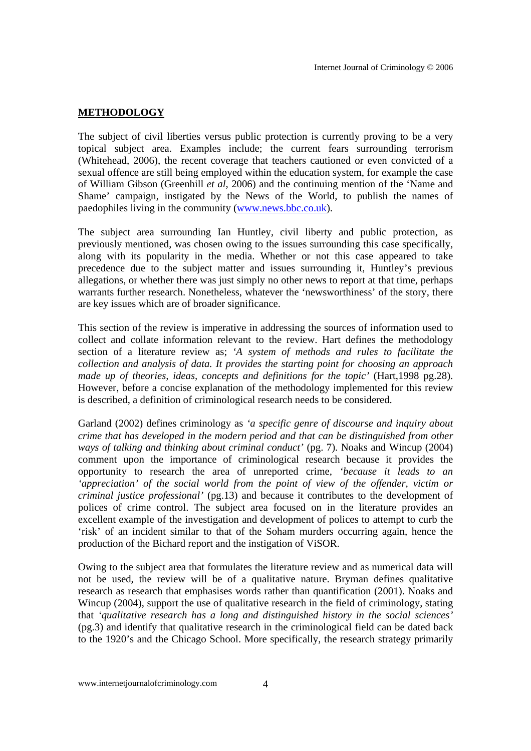#### **METHODOLOGY**

The subject of civil liberties versus public protection is currently proving to be a very topical subject area. Examples include; the current fears surrounding terrorism (Whitehead, 2006), the recent coverage that teachers cautioned or even convicted of a sexual offence are still being employed within the education system, for example the case of William Gibson (Greenhill *et al*, 2006) and the continuing mention of the 'Name and Shame' campaign, instigated by the News of the World, to publish the names of paedophiles living in the community (www.news.bbc.co.uk).

The subject area surrounding Ian Huntley, civil liberty and public protection, as previously mentioned, was chosen owing to the issues surrounding this case specifically, along with its popularity in the media. Whether or not this case appeared to take precedence due to the subject matter and issues surrounding it, Huntley's previous allegations, or whether there was just simply no other news to report at that time, perhaps warrants further research. Nonetheless, whatever the 'newsworthiness' of the story, there are key issues which are of broader significance.

This section of the review is imperative in addressing the sources of information used to collect and collate information relevant to the review. Hart defines the methodology section of a literature review as; *'A system of methods and rules to facilitate the collection and analysis of data. It provides the starting point for choosing an approach made up of theories, ideas, concepts and definitions for the topic'* (Hart,1998 pg.28). However, before a concise explanation of the methodology implemented for this review is described, a definition of criminological research needs to be considered.

Garland (2002) defines criminology as *'a specific genre of discourse and inquiry about crime that has developed in the modern period and that can be distinguished from other ways of talking and thinking about criminal conduct'* (pg. 7). Noaks and Wincup (2004) comment upon the importance of criminological research because it provides the opportunity to research the area of unreported crime, *'because it leads to an 'appreciation' of the social world from the point of view of the offender, victim or criminal justice professional'* (pg.13) and because it contributes to the development of polices of crime control. The subject area focused on in the literature provides an excellent example of the investigation and development of polices to attempt to curb the 'risk' of an incident similar to that of the Soham murders occurring again, hence the production of the Bichard report and the instigation of ViSOR.

Owing to the subject area that formulates the literature review and as numerical data will not be used, the review will be of a qualitative nature. Bryman defines qualitative research as research that emphasises words rather than quantification (2001). Noaks and Wincup (2004), support the use of qualitative research in the field of criminology, stating that *'qualitative research has a long and distinguished history in the social sciences'* (pg.3) and identify that qualitative research in the criminological field can be dated back to the 1920's and the Chicago School. More specifically, the research strategy primarily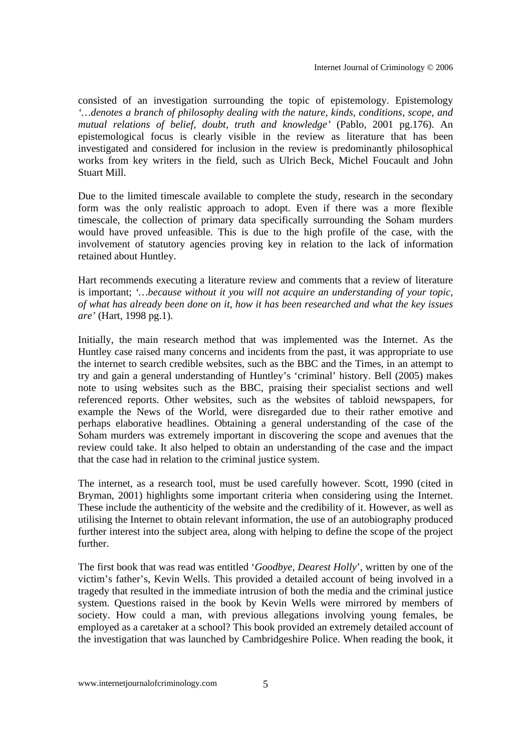consisted of an investigation surrounding the topic of epistemology. Epistemology *'…denotes a branch of philosophy dealing with the nature, kinds, conditions, scope, and mutual relations of belief, doubt, truth and knowledge'* (Pablo, 2001 pg.176). An epistemological focus is clearly visible in the review as literature that has been investigated and considered for inclusion in the review is predominantly philosophical works from key writers in the field, such as Ulrich Beck, Michel Foucault and John Stuart Mill.

Due to the limited timescale available to complete the study, research in the secondary form was the only realistic approach to adopt. Even if there was a more flexible timescale, the collection of primary data specifically surrounding the Soham murders would have proved unfeasible. This is due to the high profile of the case, with the involvement of statutory agencies proving key in relation to the lack of information retained about Huntley.

Hart recommends executing a literature review and comments that a review of literature is important; *'…because without it you will not acquire an understanding of your topic, of what has already been done on it, how it has been researched and what the key issues are'* (Hart, 1998 pg.1).

Initially, the main research method that was implemented was the Internet. As the Huntley case raised many concerns and incidents from the past, it was appropriate to use the internet to search credible websites, such as the BBC and the Times, in an attempt to try and gain a general understanding of Huntley's 'criminal' history. Bell (2005) makes note to using websites such as the BBC, praising their specialist sections and well referenced reports. Other websites, such as the websites of tabloid newspapers, for example the News of the World, were disregarded due to their rather emotive and perhaps elaborative headlines. Obtaining a general understanding of the case of the Soham murders was extremely important in discovering the scope and avenues that the review could take. It also helped to obtain an understanding of the case and the impact that the case had in relation to the criminal justice system.

The internet, as a research tool, must be used carefully however. Scott, 1990 (cited in Bryman, 2001) highlights some important criteria when considering using the Internet. These include the authenticity of the website and the credibility of it. However, as well as utilising the Internet to obtain relevant information, the use of an autobiography produced further interest into the subject area, along with helping to define the scope of the project further.

The first book that was read was entitled '*Goodbye, Dearest Holly*', written by one of the victim's father's, Kevin Wells. This provided a detailed account of being involved in a tragedy that resulted in the immediate intrusion of both the media and the criminal justice system. Questions raised in the book by Kevin Wells were mirrored by members of society. How could a man, with previous allegations involving young females, be employed as a caretaker at a school? This book provided an extremely detailed account of the investigation that was launched by Cambridgeshire Police. When reading the book, it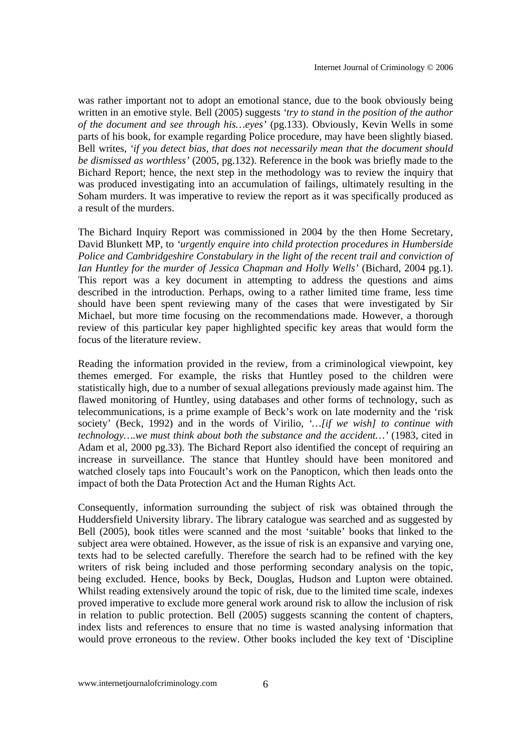was rather important not to adopt an emotional stance, due to the book obviously being written in an emotive style. Bell (2005) suggests *'try to stand in the position of the author of the document and see through his…eyes'* (pg.133). Obviously, Kevin Wells in some parts of his book, for example regarding Police procedure, may have been slightly biased. Bell writes, *'if you detect bias, that does not necessarily mean that the document should be dismissed as worthless'* (2005, pg.132). Reference in the book was briefly made to the Bichard Report; hence, the next step in the methodology was to review the inquiry that was produced investigating into an accumulation of failings, ultimately resulting in the Soham murders. It was imperative to review the report as it was specifically produced as a result of the murders.

The Bichard Inquiry Report was commissioned in 2004 by the then Home Secretary, David Blunkett MP, to *'urgently enquire into child protection procedures in Humberside Police and Cambridgeshire Constabulary in the light of the recent trail and conviction of Ian Huntley for the murder of Jessica Chapman and Holly Wells'* (Bichard, 2004 pg.1). This report was a key document in attempting to address the questions and aims described in the introduction. Perhaps, owing to a rather limited time frame, less time should have been spent reviewing many of the cases that were investigated by Sir Michael, but more time focusing on the recommendations made. However, a thorough review of this particular key paper highlighted specific key areas that would form the focus of the literature review.

Reading the information provided in the review, from a criminological viewpoint, key themes emerged. For example, the risks that Huntley posed to the children were statistically high, due to a number of sexual allegations previously made against him. The flawed monitoring of Huntley, using databases and other forms of technology, such as telecommunications, is a prime example of Beck's work on late modernity and the 'risk society' (Beck, 1992) and in the words of Virilio, *'…[if we wish] to continue with technology….we must think about both the substance and the accident…'* (1983, cited in Adam et al, 2000 pg.33). The Bichard Report also identified the concept of requiring an increase in surveillance. The stance that Huntley should have been monitored and watched closely taps into Foucault's work on the Panopticon, which then leads onto the impact of both the Data Protection Act and the Human Rights Act.

Consequently, information surrounding the subject of risk was obtained through the Huddersfield University library. The library catalogue was searched and as suggested by Bell (2005), book titles were scanned and the most 'suitable' books that linked to the subject area were obtained. However, as the issue of risk is an expansive and varying one, texts had to be selected carefully. Therefore the search had to be refined with the key writers of risk being included and those performing secondary analysis on the topic, being excluded. Hence, books by Beck, Douglas, Hudson and Lupton were obtained. Whilst reading extensively around the topic of risk, due to the limited time scale, indexes proved imperative to exclude more general work around risk to allow the inclusion of risk in relation to public protection. Bell (2005) suggests scanning the content of chapters, index lists and references to ensure that no time is wasted analysing information that would prove erroneous to the review. Other books included the key text of 'Discipline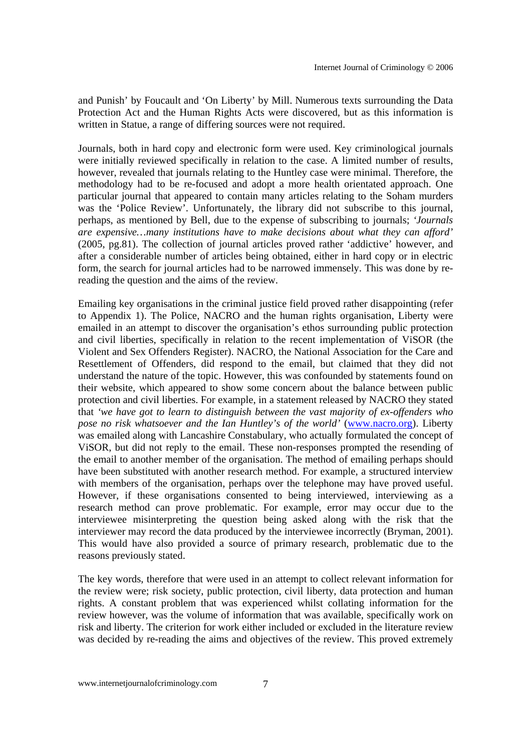and Punish' by Foucault and 'On Liberty' by Mill. Numerous texts surrounding the Data Protection Act and the Human Rights Acts were discovered, but as this information is written in Statue, a range of differing sources were not required.

Journals, both in hard copy and electronic form were used. Key criminological journals were initially reviewed specifically in relation to the case. A limited number of results, however, revealed that journals relating to the Huntley case were minimal. Therefore, the methodology had to be re-focused and adopt a more health orientated approach. One particular journal that appeared to contain many articles relating to the Soham murders was the 'Police Review'. Unfortunately, the library did not subscribe to this journal, perhaps, as mentioned by Bell, due to the expense of subscribing to journals; *'Journals are expensive…many institutions have to make decisions about what they can afford'* (2005, pg.81). The collection of journal articles proved rather 'addictive' however, and after a considerable number of articles being obtained, either in hard copy or in electric form, the search for journal articles had to be narrowed immensely. This was done by rereading the question and the aims of the review.

Emailing key organisations in the criminal justice field proved rather disappointing (refer to Appendix 1). The Police, NACRO and the human rights organisation, Liberty were emailed in an attempt to discover the organisation's ethos surrounding public protection and civil liberties, specifically in relation to the recent implementation of ViSOR (the Violent and Sex Offenders Register). NACRO, the National Association for the Care and Resettlement of Offenders, did respond to the email, but claimed that they did not understand the nature of the topic. However, this was confounded by statements found on their website, which appeared to show some concern about the balance between public protection and civil liberties. For example, in a statement released by NACRO they stated that *'we have got to learn to distinguish between the vast majority of ex-offenders who pose no risk whatsoever and the Ian Huntley's of the world'* (www.nacro.org). Liberty was emailed along with Lancashire Constabulary, who actually formulated the concept of ViSOR, but did not reply to the email. These non-responses prompted the resending of the email to another member of the organisation. The method of emailing perhaps should have been substituted with another research method. For example, a structured interview with members of the organisation, perhaps over the telephone may have proved useful. However, if these organisations consented to being interviewed, interviewing as a research method can prove problematic. For example, error may occur due to the interviewee misinterpreting the question being asked along with the risk that the interviewer may record the data produced by the interviewee incorrectly (Bryman, 2001). This would have also provided a source of primary research, problematic due to the reasons previously stated.

The key words, therefore that were used in an attempt to collect relevant information for the review were; risk society, public protection, civil liberty, data protection and human rights. A constant problem that was experienced whilst collating information for the review however, was the volume of information that was available, specifically work on risk and liberty. The criterion for work either included or excluded in the literature review was decided by re-reading the aims and objectives of the review. This proved extremely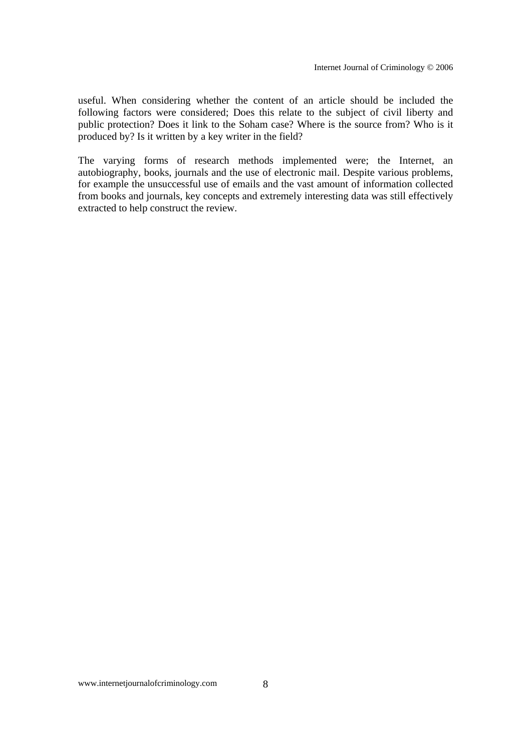useful. When considering whether the content of an article should be included the following factors were considered; Does this relate to the subject of civil liberty and public protection? Does it link to the Soham case? Where is the source from? Who is it produced by? Is it written by a key writer in the field?

The varying forms of research methods implemented were; the Internet, an autobiography, books, journals and the use of electronic mail. Despite various problems, for example the unsuccessful use of emails and the vast amount of information collected from books and journals, key concepts and extremely interesting data was still effectively extracted to help construct the review.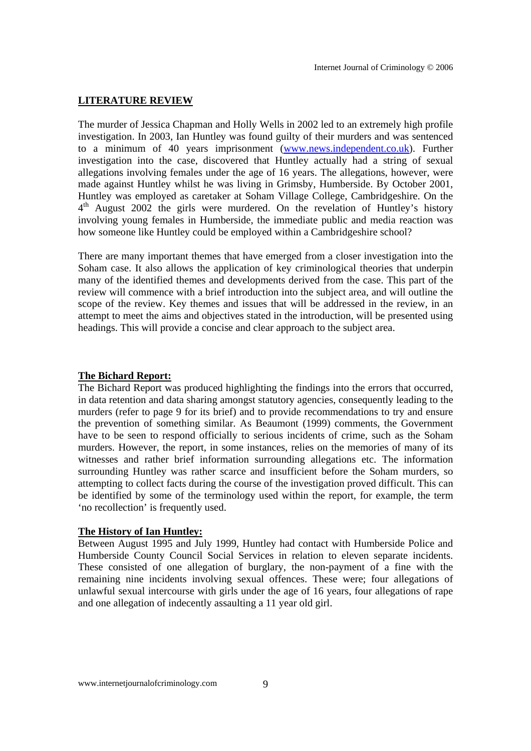#### **LITERATURE REVIEW**

The murder of Jessica Chapman and Holly Wells in 2002 led to an extremely high profile investigation. In 2003, Ian Huntley was found guilty of their murders and was sentenced to a minimum of 40 years imprisonment (www.news.independent.co.uk). Further investigation into the case, discovered that Huntley actually had a string of sexual allegations involving females under the age of 16 years. The allegations, however, were made against Huntley whilst he was living in Grimsby, Humberside. By October 2001, Huntley was employed as caretaker at Soham Village College, Cambridgeshire. On the  $4<sup>th</sup>$  August 2002 the girls were murdered. On the revelation of Huntley's history involving young females in Humberside, the immediate public and media reaction was how someone like Huntley could be employed within a Cambridgeshire school?

There are many important themes that have emerged from a closer investigation into the Soham case. It also allows the application of key criminological theories that underpin many of the identified themes and developments derived from the case. This part of the review will commence with a brief introduction into the subject area, and will outline the scope of the review. Key themes and issues that will be addressed in the review, in an attempt to meet the aims and objectives stated in the introduction, will be presented using headings. This will provide a concise and clear approach to the subject area.

#### **The Bichard Report:**

The Bichard Report was produced highlighting the findings into the errors that occurred, in data retention and data sharing amongst statutory agencies, consequently leading to the murders (refer to page 9 for its brief) and to provide recommendations to try and ensure the prevention of something similar. As Beaumont (1999) comments, the Government have to be seen to respond officially to serious incidents of crime, such as the Soham murders. However, the report, in some instances, relies on the memories of many of its witnesses and rather brief information surrounding allegations etc. The information surrounding Huntley was rather scarce and insufficient before the Soham murders, so attempting to collect facts during the course of the investigation proved difficult. This can be identified by some of the terminology used within the report, for example, the term 'no recollection' is frequently used.

#### **The History of Ian Huntley:**

Between August 1995 and July 1999, Huntley had contact with Humberside Police and Humberside County Council Social Services in relation to eleven separate incidents. These consisted of one allegation of burglary, the non-payment of a fine with the remaining nine incidents involving sexual offences. These were; four allegations of unlawful sexual intercourse with girls under the age of 16 years, four allegations of rape and one allegation of indecently assaulting a 11 year old girl.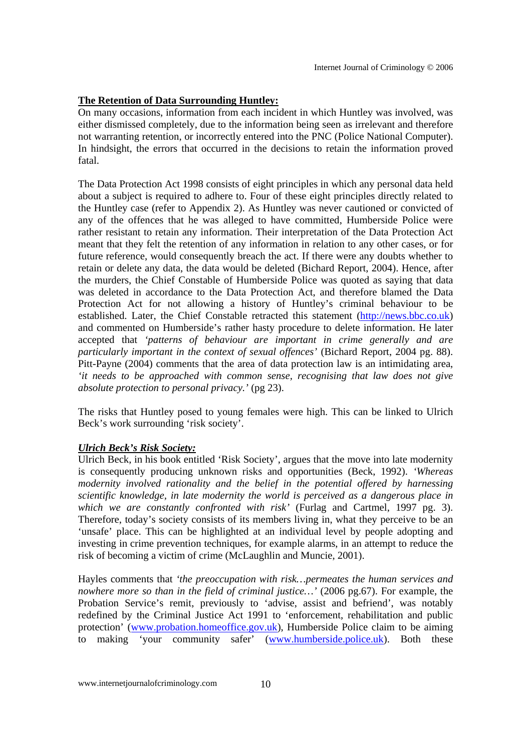## **The Retention of Data Surrounding Huntley:**

On many occasions, information from each incident in which Huntley was involved, was either dismissed completely, due to the information being seen as irrelevant and therefore not warranting retention, or incorrectly entered into the PNC (Police National Computer). In hindsight, the errors that occurred in the decisions to retain the information proved fatal.

The Data Protection Act 1998 consists of eight principles in which any personal data held about a subject is required to adhere to. Four of these eight principles directly related to the Huntley case (refer to Appendix 2). As Huntley was never cautioned or convicted of any of the offences that he was alleged to have committed, Humberside Police were rather resistant to retain any information. Their interpretation of the Data Protection Act meant that they felt the retention of any information in relation to any other cases, or for future reference, would consequently breach the act. If there were any doubts whether to retain or delete any data, the data would be deleted (Bichard Report, 2004). Hence, after the murders, the Chief Constable of Humberside Police was quoted as saying that data was deleted in accordance to the Data Protection Act, and therefore blamed the Data Protection Act for not allowing a history of Huntley's criminal behaviour to be established. Later, the Chief Constable retracted this statement (http://news.bbc.co.uk) and commented on Humberside's rather hasty procedure to delete information. He later accepted that *'patterns of behaviour are important in crime generally and are particularly important in the context of sexual offences'* (Bichard Report, 2004 pg. 88). Pitt-Payne (2004) comments that the area of data protection law is an intimidating area, *'it needs to be approached with common sense, recognising that law does not give absolute protection to personal privacy.'* (pg 23).

The risks that Huntley posed to young females were high. This can be linked to Ulrich Beck's work surrounding 'risk society'.

## *Ulrich Beck's Risk Society:*

Ulrich Beck, in his book entitled 'Risk Society', argues that the move into late modernity is consequently producing unknown risks and opportunities (Beck, 1992). *'Whereas modernity involved rationality and the belief in the potential offered by harnessing scientific knowledge, in late modernity the world is perceived as a dangerous place in which we are constantly confronted with risk'* (Furlag and Cartmel, 1997 pg. 3). Therefore, today's society consists of its members living in, what they perceive to be an 'unsafe' place. This can be highlighted at an individual level by people adopting and investing in crime prevention techniques, for example alarms, in an attempt to reduce the risk of becoming a victim of crime (McLaughlin and Muncie, 2001).

Hayles comments that *'the preoccupation with risk…permeates the human services and nowhere more so than in the field of criminal justice…'* (2006 pg.67). For example, the Probation Service's remit, previously to 'advise, assist and befriend', was notably redefined by the Criminal Justice Act 1991 to 'enforcement, rehabilitation and public protection' (www.probation.homeoffice.gov.uk), Humberside Police claim to be aiming to making 'your community safer' (www.humberside.police.uk). Both these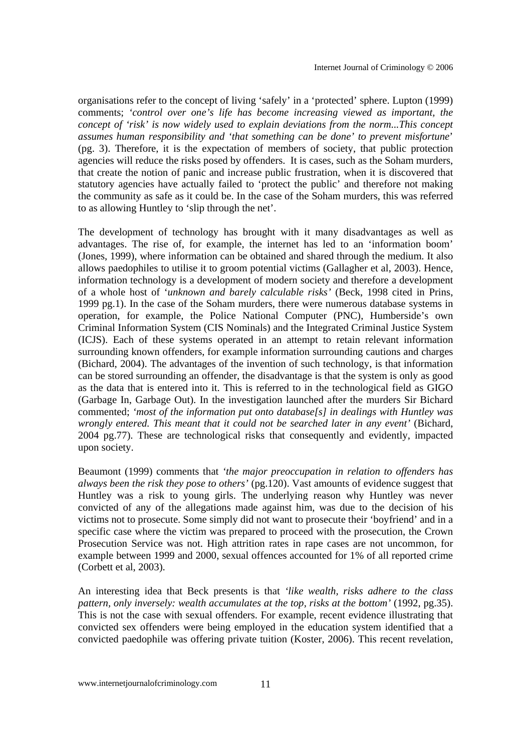organisations refer to the concept of living 'safely' in a 'protected' sphere. Lupton (1999) comments; *'control over one's life has become increasing viewed as important, the concept of 'risk' is now widely used to explain deviations from the norm...This concept assumes human responsibility and 'that something can be done' to prevent misfortune*' (pg. 3). Therefore, it is the expectation of members of society, that public protection agencies will reduce the risks posed by offenders. It is cases, such as the Soham murders, that create the notion of panic and increase public frustration, when it is discovered that statutory agencies have actually failed to 'protect the public' and therefore not making the community as safe as it could be. In the case of the Soham murders, this was referred to as allowing Huntley to 'slip through the net'.

The development of technology has brought with it many disadvantages as well as advantages. The rise of, for example, the internet has led to an 'information boom' (Jones, 1999), where information can be obtained and shared through the medium. It also allows paedophiles to utilise it to groom potential victims (Gallagher et al, 2003). Hence, information technology is a development of modern society and therefore a development of a whole host of '*unknown and barely calculable risks'* (Beck, 1998 cited in Prins, 1999 pg.1). In the case of the Soham murders, there were numerous database systems in operation, for example, the Police National Computer (PNC), Humberside's own Criminal Information System (CIS Nominals) and the Integrated Criminal Justice System (ICJS). Each of these systems operated in an attempt to retain relevant information surrounding known offenders, for example information surrounding cautions and charges (Bichard, 2004). The advantages of the invention of such technology, is that information can be stored surrounding an offender, the disadvantage is that the system is only as good as the data that is entered into it. This is referred to in the technological field as GIGO (Garbage In, Garbage Out). In the investigation launched after the murders Sir Bichard commented; *'most of the information put onto database[s] in dealings with Huntley was wrongly entered. This meant that it could not be searched later in any event'* (Bichard, 2004 pg.77). These are technological risks that consequently and evidently, impacted upon society.

Beaumont (1999) comments that *'the major preoccupation in relation to offenders has always been the risk they pose to others'* (pg.120). Vast amounts of evidence suggest that Huntley was a risk to young girls. The underlying reason why Huntley was never convicted of any of the allegations made against him, was due to the decision of his victims not to prosecute. Some simply did not want to prosecute their 'boyfriend' and in a specific case where the victim was prepared to proceed with the prosecution, the Crown Prosecution Service was not. High attrition rates in rape cases are not uncommon, for example between 1999 and 2000, sexual offences accounted for 1% of all reported crime (Corbett et al, 2003).

An interesting idea that Beck presents is that *'like wealth, risks adhere to the class pattern, only inversely: wealth accumulates at the top, risks at the bottom'* (1992, pg.35). This is not the case with sexual offenders. For example, recent evidence illustrating that convicted sex offenders were being employed in the education system identified that a convicted paedophile was offering private tuition (Koster, 2006). This recent revelation,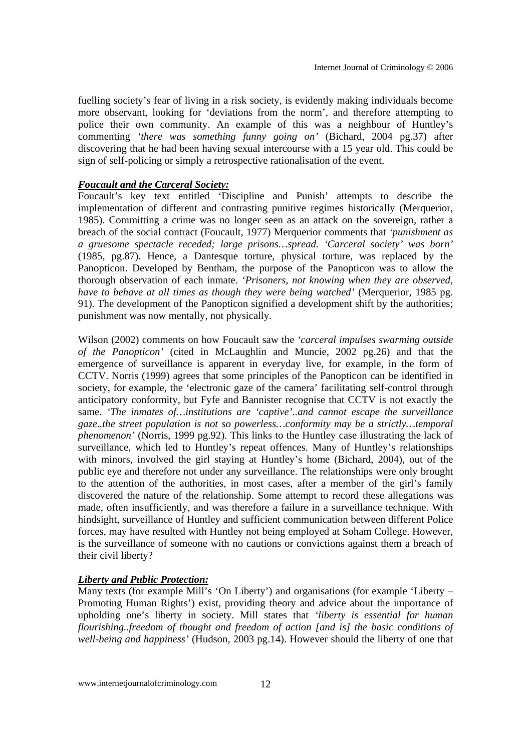fuelling society's fear of living in a risk society, is evidently making individuals become more observant, looking for 'deviations from the norm', and therefore attempting to police their own community. An example of this was a neighbour of Huntley's commenting *'there was something funny going on'* (Bichard, 2004 pg.37) after discovering that he had been having sexual intercourse with a 15 year old. This could be sign of self-policing or simply a retrospective rationalisation of the event.

## *Foucault and the Carceral Society:*

Foucault's key text entitled 'Discipline and Punish' attempts to describe the implementation of different and contrasting punitive regimes historically (Merquerior, 1985). Committing a crime was no longer seen as an attack on the sovereign, rather a breach of the social contract (Foucault, 1977) Merquerior comments that *'punishment as a gruesome spectacle receded; large prisons…spread. 'Carceral society' was born'* (1985, pg.87). Hence, a Dantesque torture, physical torture, was replaced by the Panopticon. Developed by Bentham, the purpose of the Panopticon was to allow the thorough observation of each inmate. *'Prisoners, not knowing when they are observed, have to behave at all times as though they were being watched'* (Merquerior, 1985 pg. 91). The development of the Panopticon signified a development shift by the authorities; punishment was now mentally, not physically.

Wilson (2002) comments on how Foucault saw the *'carceral impulses swarming outside of the Panopticon'* (cited in McLaughlin and Muncie, 2002 pg.26) and that the emergence of surveillance is apparent in everyday live, for example, in the form of CCTV. Norris (1999) agrees that some principles of the Panopticon can be identified in society, for example, the 'electronic gaze of the camera' facilitating self-control through anticipatory conformity, but Fyfe and Bannister recognise that CCTV is not exactly the same. *'The inmates of…institutions are 'captive'..and cannot escape the surveillance gaze..the street population is not so powerless…conformity may be a strictly…temporal phenomenon'* (Norris, 1999 pg.92). This links to the Huntley case illustrating the lack of surveillance, which led to Huntley's repeat offences. Many of Huntley's relationships with minors, involved the girl staying at Huntley's home (Bichard, 2004), out of the public eye and therefore not under any surveillance. The relationships were only brought to the attention of the authorities, in most cases, after a member of the girl's family discovered the nature of the relationship. Some attempt to record these allegations was made, often insufficiently, and was therefore a failure in a surveillance technique. With hindsight, surveillance of Huntley and sufficient communication between different Police forces, may have resulted with Huntley not being employed at Soham College. However, is the surveillance of someone with no cautions or convictions against them a breach of their civil liberty?

## *Liberty and Public Protection:*

Many texts (for example Mill's 'On Liberty') and organisations (for example 'Liberty – Promoting Human Rights') exist, providing theory and advice about the importance of upholding one's liberty in society. Mill states that *'liberty is essential for human flourishing..freedom of thought and freedom of action [and is] the basic conditions of well-being and happiness'* (Hudson, 2003 pg.14). However should the liberty of one that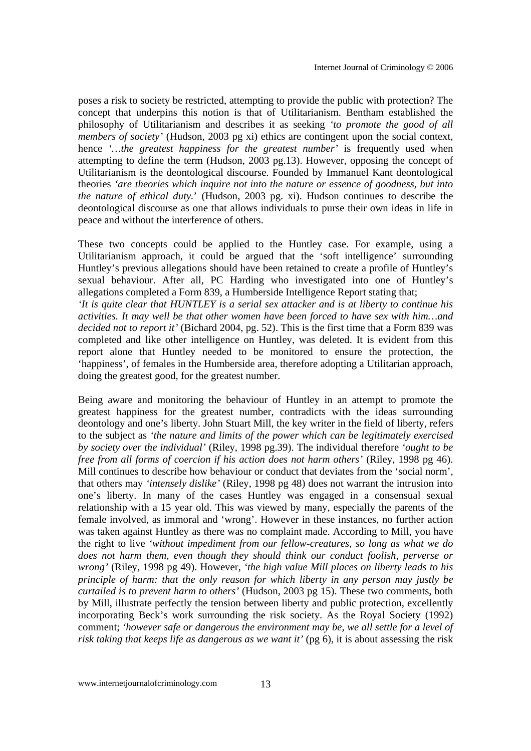poses a risk to society be restricted, attempting to provide the public with protection? The concept that underpins this notion is that of Utilitarianism. Bentham established the philosophy of Utilitarianism and describes it as seeking *'to promote the good of all members of society'* (Hudson, 2003 pg xi) ethics are contingent upon the social context, hence *'…the greatest happiness for the greatest number'* is frequently used when attempting to define the term (Hudson, 2003 pg.13). However, opposing the concept of Utilitarianism is the deontological discourse. Founded by Immanuel Kant deontological theories *'are theories which inquire not into the nature or essence of goodness, but into the nature of ethical duty.*' (Hudson, 2003 pg. xi). Hudson continues to describe the deontological discourse as one that allows individuals to purse their own ideas in life in peace and without the interference of others.

These two concepts could be applied to the Huntley case. For example, using a Utilitarianism approach, it could be argued that the 'soft intelligence' surrounding Huntley's previous allegations should have been retained to create a profile of Huntley's sexual behaviour. After all, PC Harding who investigated into one of Huntley's allegations completed a Form 839, a Humberside Intelligence Report stating that; *'It is quite clear that HUNTLEY is a serial sex attacker and is at liberty to continue his activities. It may well be that other women have been forced to have sex with him…and decided not to report it'* (Bichard 2004, pg. 52). This is the first time that a Form 839 was completed and like other intelligence on Huntley, was deleted. It is evident from this report alone that Huntley needed to be monitored to ensure the protection, the 'happiness', of females in the Humberside area, therefore adopting a Utilitarian approach, doing the greatest good, for the greatest number.

Being aware and monitoring the behaviour of Huntley in an attempt to promote the greatest happiness for the greatest number, contradicts with the ideas surrounding deontology and one's liberty. John Stuart Mill, the key writer in the field of liberty, refers to the subject as *'the nature and limits of the power which can be legitimately exercised by society over the individual'* (Riley, 1998 pg.39). The individual therefore *'ought to be free from all forms of coercion if his action does not harm others'* (Riley, 1998 pg 46). Mill continues to describe how behaviour or conduct that deviates from the 'social norm', that others may *'intensely dislike'* (Riley, 1998 pg 48) does not warrant the intrusion into one's liberty. In many of the cases Huntley was engaged in a consensual sexual relationship with a 15 year old. This was viewed by many, especially the parents of the female involved, as immoral and 'wrong'. However in these instances, no further action was taken against Huntley as there was no complaint made. According to Mill, you have the right to live *'without impediment from our fellow-creatures, so long as what we do does not harm them, even though they should think our conduct foolish, perverse or wrong'* (Riley, 1998 pg 49). However, *'the high value Mill places on liberty leads to his principle of harm: that the only reason for which liberty in any person may justly be curtailed is to prevent harm to others'* (Hudson, 2003 pg 15). These two comments, both by Mill, illustrate perfectly the tension between liberty and public protection, excellently incorporating Beck's work surrounding the risk society. As the Royal Society (1992) comment; *'however safe or dangerous the environment may be, we all settle for a level of risk taking that keeps life as dangerous as we want it'* (pg 6), it is about assessing the risk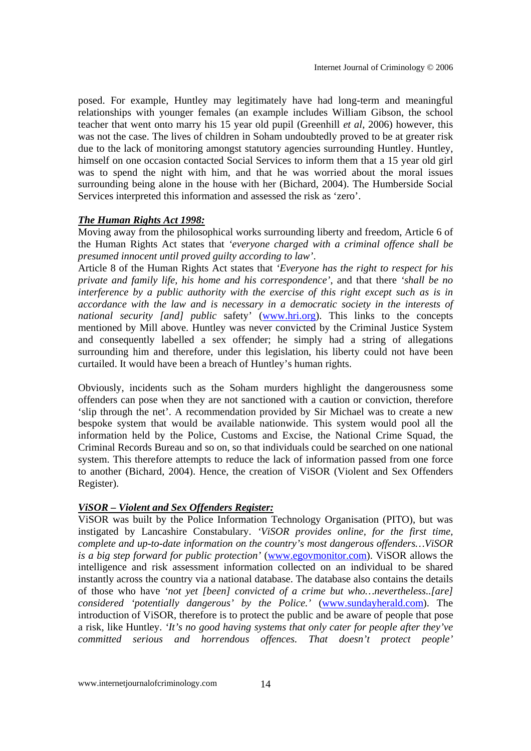posed. For example, Huntley may legitimately have had long-term and meaningful relationships with younger females (an example includes William Gibson, the school teacher that went onto marry his 15 year old pupil (Greenhill *et al*, 2006) however, this was not the case. The lives of children in Soham undoubtedly proved to be at greater risk due to the lack of monitoring amongst statutory agencies surrounding Huntley. Huntley, himself on one occasion contacted Social Services to inform them that a 15 year old girl was to spend the night with him, and that he was worried about the moral issues surrounding being alone in the house with her (Bichard, 2004). The Humberside Social Services interpreted this information and assessed the risk as 'zero'.

## *The Human Rights Act 1998:*

Moving away from the philosophical works surrounding liberty and freedom, Article 6 of the Human Rights Act states that *'everyone charged with a criminal offence shall be presumed innocent until proved guilty according to law'*.

Article 8 of the Human Rights Act states that *'Everyone has the right to respect for his private and family life, his home and his correspondence'*, and that there *'shall be no interference by a public authority with the exercise of this right except such as is in accordance with the law and is necessary in a democratic society in the interests of national security [and] public* safety' (www.hri.org). This links to the concepts mentioned by Mill above. Huntley was never convicted by the Criminal Justice System and consequently labelled a sex offender; he simply had a string of allegations surrounding him and therefore, under this legislation, his liberty could not have been curtailed. It would have been a breach of Huntley's human rights.

Obviously, incidents such as the Soham murders highlight the dangerousness some offenders can pose when they are not sanctioned with a caution or conviction, therefore 'slip through the net'. A recommendation provided by Sir Michael was to create a new bespoke system that would be available nationwide. This system would pool all the information held by the Police, Customs and Excise, the National Crime Squad, the Criminal Records Bureau and so on, so that individuals could be searched on one national system. This therefore attempts to reduce the lack of information passed from one force to another (Bichard, 2004). Hence, the creation of ViSOR (Violent and Sex Offenders Register).

#### *ViSOR – Violent and Sex Offenders Register:*

ViSOR was built by the Police Information Technology Organisation (PITO), but was instigated by Lancashire Constabulary. *'ViSOR provides online, for the first time, complete and up-to-date information on the country's most dangerous offenders…ViSOR is a big step forward for public protection'* (www.egovmonitor.com). ViSOR allows the intelligence and risk assessment information collected on an individual to be shared instantly across the country via a national database. The database also contains the details of those who have *'not yet [been] convicted of a crime but who…nevertheless..[are] considered 'potentially dangerous' by the Police.'* (www.sundayherald.com). The introduction of ViSOR, therefore is to protect the public and be aware of people that pose a risk, like Huntley. *'It's no good having systems that only cater for people after they've committed serious and horrendous offences. That doesn't protect people'*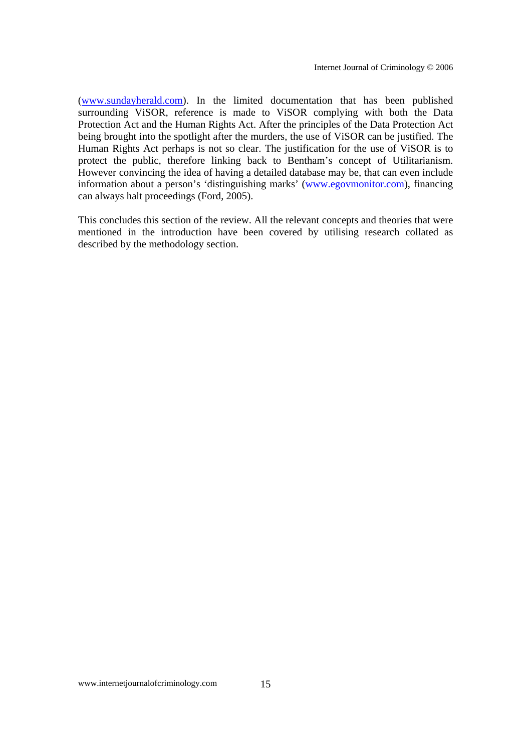(www.sundayherald.com). In the limited documentation that has been published surrounding ViSOR, reference is made to ViSOR complying with both the Data Protection Act and the Human Rights Act. After the principles of the Data Protection Act being brought into the spotlight after the murders, the use of ViSOR can be justified. The Human Rights Act perhaps is not so clear. The justification for the use of ViSOR is to protect the public, therefore linking back to Bentham's concept of Utilitarianism. However convincing the idea of having a detailed database may be, that can even include information about a person's 'distinguishing marks' (www.egovmonitor.com), financing can always halt proceedings (Ford, 2005).

This concludes this section of the review. All the relevant concepts and theories that were mentioned in the introduction have been covered by utilising research collated as described by the methodology section.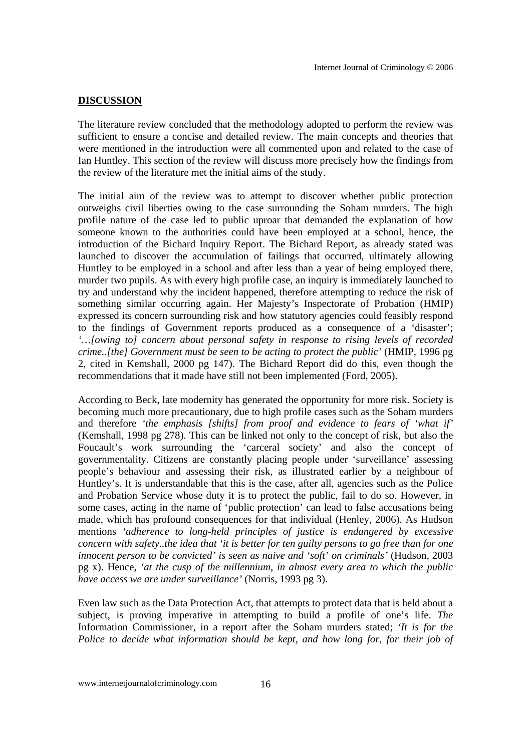## **DISCUSSION**

The literature review concluded that the methodology adopted to perform the review was sufficient to ensure a concise and detailed review. The main concepts and theories that were mentioned in the introduction were all commented upon and related to the case of Ian Huntley. This section of the review will discuss more precisely how the findings from the review of the literature met the initial aims of the study.

The initial aim of the review was to attempt to discover whether public protection outweighs civil liberties owing to the case surrounding the Soham murders. The high profile nature of the case led to public uproar that demanded the explanation of how someone known to the authorities could have been employed at a school, hence, the introduction of the Bichard Inquiry Report. The Bichard Report, as already stated was launched to discover the accumulation of failings that occurred, ultimately allowing Huntley to be employed in a school and after less than a year of being employed there, murder two pupils. As with every high profile case, an inquiry is immediately launched to try and understand why the incident happened, therefore attempting to reduce the risk of something similar occurring again. Her Majesty's Inspectorate of Probation (HMIP) expressed its concern surrounding risk and how statutory agencies could feasibly respond to the findings of Government reports produced as a consequence of a 'disaster'; *'…[owing to] concern about personal safety in response to rising levels of recorded crime..[the] Government must be seen to be acting to protect the public'* (HMIP, 1996 pg 2, cited in Kemshall, 2000 pg 147). The Bichard Report did do this, even though the recommendations that it made have still not been implemented (Ford, 2005).

According to Beck, late modernity has generated the opportunity for more risk. Society is becoming much more precautionary, due to high profile cases such as the Soham murders and therefore *'the emphasis [shifts] from proof and evidence to fears of 'what if'* (Kemshall, 1998 pg 278). This can be linked not only to the concept of risk, but also the Foucault's work surrounding the 'carceral society' and also the concept of governmentality. Citizens are constantly placing people under 'surveillance' assessing people's behaviour and assessing their risk, as illustrated earlier by a neighbour of Huntley's. It is understandable that this is the case, after all, agencies such as the Police and Probation Service whose duty it is to protect the public, fail to do so. However, in some cases, acting in the name of 'public protection' can lead to false accusations being made, which has profound consequences for that individual (Henley, 2006). As Hudson mentions *'adherence to long-held principles of justice is endangered by excessive concern with safety..the idea that 'it is better for ten guilty persons to go free than for one innocent person to be convicted' is seen as naive and 'soft' on criminals'* (Hudson, 2003 pg x). Hence, *'at the cusp of the millennium, in almost every area to which the public have access we are under surveillance'* (Norris, 1993 pg 3).

Even law such as the Data Protection Act, that attempts to protect data that is held about a subject, is proving imperative in attempting to build a profile of one's life. *The* Information Commissioner, in a report after the Soham murders stated; *'It is for the Police to decide what information should be kept, and how long for, for their job of*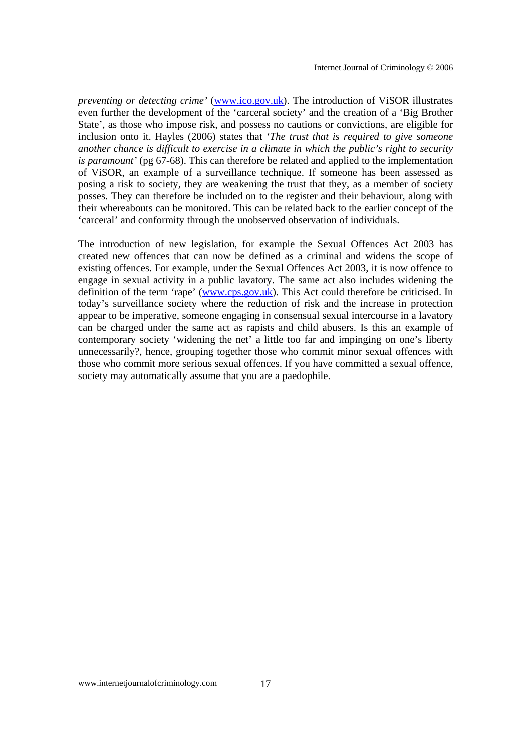*preventing or detecting crime'* (www.ico.gov.uk). The introduction of ViSOR illustrates even further the development of the 'carceral society' and the creation of a 'Big Brother State', as those who impose risk, and possess no cautions or convictions, are eligible for inclusion onto it. Hayles (2006) states that *'The trust that is required to give someone another chance is difficult to exercise in a climate in which the public's right to security is paramount'* (pg 67-68). This can therefore be related and applied to the implementation of ViSOR, an example of a surveillance technique. If someone has been assessed as posing a risk to society, they are weakening the trust that they, as a member of society posses. They can therefore be included on to the register and their behaviour, along with their whereabouts can be monitored. This can be related back to the earlier concept of the 'carceral' and conformity through the unobserved observation of individuals.

The introduction of new legislation, for example the Sexual Offences Act 2003 has created new offences that can now be defined as a criminal and widens the scope of existing offences. For example, under the Sexual Offences Act 2003, it is now offence to engage in sexual activity in a public lavatory. The same act also includes widening the definition of the term 'rape' (www.cps.gov.uk). This Act could therefore be criticised. In today's surveillance society where the reduction of risk and the increase in protection appear to be imperative, someone engaging in consensual sexual intercourse in a lavatory can be charged under the same act as rapists and child abusers. Is this an example of contemporary society 'widening the net' a little too far and impinging on one's liberty unnecessarily?, hence, grouping together those who commit minor sexual offences with those who commit more serious sexual offences. If you have committed a sexual offence, society may automatically assume that you are a paedophile.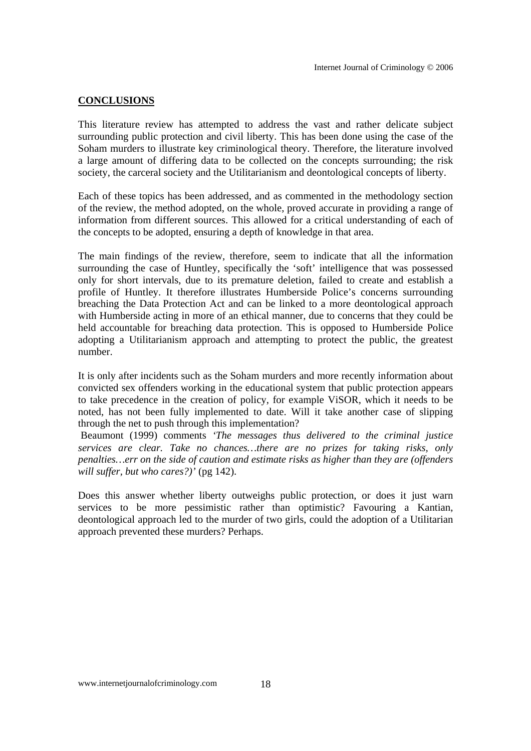#### **CONCLUSIONS**

This literature review has attempted to address the vast and rather delicate subject surrounding public protection and civil liberty. This has been done using the case of the Soham murders to illustrate key criminological theory. Therefore, the literature involved a large amount of differing data to be collected on the concepts surrounding; the risk society, the carceral society and the Utilitarianism and deontological concepts of liberty.

Each of these topics has been addressed, and as commented in the methodology section of the review, the method adopted, on the whole, proved accurate in providing a range of information from different sources. This allowed for a critical understanding of each of the concepts to be adopted, ensuring a depth of knowledge in that area.

The main findings of the review, therefore, seem to indicate that all the information surrounding the case of Huntley, specifically the 'soft' intelligence that was possessed only for short intervals, due to its premature deletion, failed to create and establish a profile of Huntley. It therefore illustrates Humberside Police's concerns surrounding breaching the Data Protection Act and can be linked to a more deontological approach with Humberside acting in more of an ethical manner, due to concerns that they could be held accountable for breaching data protection. This is opposed to Humberside Police adopting a Utilitarianism approach and attempting to protect the public, the greatest number.

It is only after incidents such as the Soham murders and more recently information about convicted sex offenders working in the educational system that public protection appears to take precedence in the creation of policy, for example ViSOR, which it needs to be noted, has not been fully implemented to date. Will it take another case of slipping through the net to push through this implementation?

 Beaumont (1999) comments *'The messages thus delivered to the criminal justice services are clear. Take no chances…there are no prizes for taking risks, only penalties…err on the side of caution and estimate risks as higher than they are (offenders will suffer, but who cares?)'* (pg 142).

Does this answer whether liberty outweighs public protection, or does it just warn services to be more pessimistic rather than optimistic? Favouring a Kantian, deontological approach led to the murder of two girls, could the adoption of a Utilitarian approach prevented these murders? Perhaps.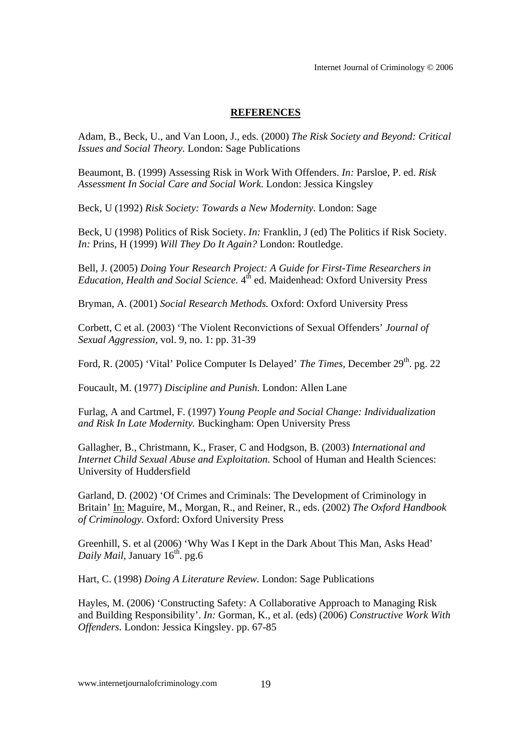Internet Journal of Criminology © 2006

#### **REFERENCES**

Adam, B., Beck, U., and Van Loon, J., eds. (2000) *The Risk Society and Beyond: Critical Issues and Social Theory.* London: Sage Publications

Beaumont, B. (1999) Assessing Risk in Work With Offenders. *In:* Parsloe, P. ed. *Risk Assessment In Social Care and Social Work*. London: Jessica Kingsley

Beck, U (1992) *Risk Society: Towards a New Modernity.* London: Sage

Beck, U (1998) Politics of Risk Society. *In:* Franklin, J (ed) The Politics if Risk Society. *In:* Prins, H (1999) *Will They Do It Again?* London: Routledge.

Bell, J. (2005) *Doing Your Research Project: A Guide for First-Time Researchers in Education, Health and Social Science.* 4<sup>th</sup> ed. Maidenhead: Oxford University Press

Bryman, A. (2001) *Social Research Methods.* Oxford: Oxford University Press

Corbett, C et al. (2003) 'The Violent Reconvictions of Sexual Offenders' *Journal of Sexual Aggression,* vol. 9, no. 1: pp. 31-39

Ford, R. (2005) 'Vital' Police Computer Is Delayed' *The Times*, December 29<sup>th</sup>. pg. 22

Foucault, M. (1977) *Discipline and Punish.* London: Allen Lane

Furlag, A and Cartmel, F. (1997) *Young People and Social Change: Individualization and Risk In Late Modernity.* Buckingham: Open University Press

Gallagher, B., Christmann, K., Fraser, C and Hodgson, B. (2003) *International and Internet Child Sexual Abuse and Exploitation.* School of Human and Health Sciences: University of Huddersfield

Garland, D. (2002) 'Of Crimes and Criminals: The Development of Criminology in Britain' In: Maguire, M., Morgan, R., and Reiner, R., eds. (2002) *The Oxford Handbook of Criminology.* Oxford: Oxford University Press

Greenhill, S. et al (2006) 'Why Was I Kept in the Dark About This Man, Asks Head' *Daily Mail, January 16<sup>th</sup>.* pg.6

Hart, C. (1998) *Doing A Literature Review.* London: Sage Publications

Hayles, M. (2006) 'Constructing Safety: A Collaborative Approach to Managing Risk and Building Responsibility'. *In:* Gorman, K., et al. (eds) (2006) *Constructive Work With Offenders.* London: Jessica Kingsley. pp. 67-85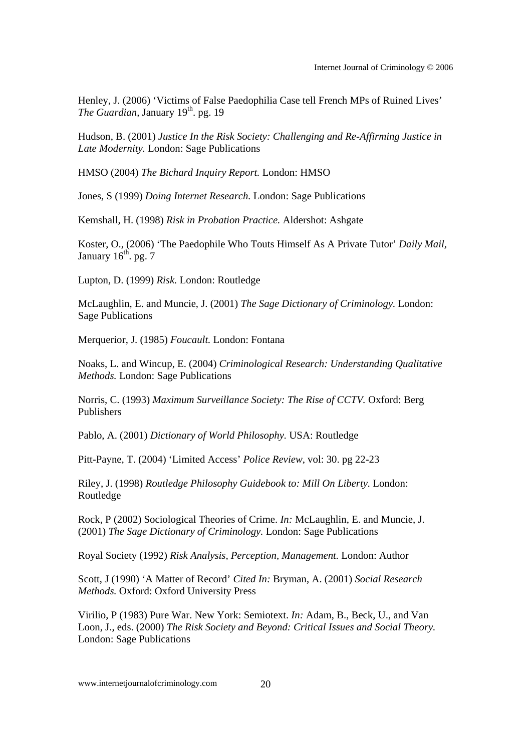Henley, J. (2006) 'Victims of False Paedophilia Case tell French MPs of Ruined Lives' *The Guardian, January 19th. pg. 19* 

Hudson, B. (2001) *Justice In the Risk Society: Challenging and Re-Affirming Justice in Late Modernity.* London: Sage Publications

HMSO (2004) *The Bichard Inquiry Report.* London: HMSO

Jones, S (1999) *Doing Internet Research.* London: Sage Publications

Kemshall, H. (1998) *Risk in Probation Practice.* Aldershot: Ashgate

Koster, O., (2006) 'The Paedophile Who Touts Himself As A Private Tutor' *Daily Mail,* January  $16^{th}$ . pg. 7

Lupton, D. (1999) *Risk.* London: Routledge

McLaughlin, E. and Muncie, J. (2001) *The Sage Dictionary of Criminology.* London: Sage Publications

Merquerior, J. (1985) *Foucault.* London: Fontana

Noaks, L. and Wincup, E. (2004) *Criminological Research: Understanding Qualitative Methods.* London: Sage Publications

Norris, C. (1993) *Maximum Surveillance Society: The Rise of CCTV.* Oxford: Berg Publishers

Pablo, A. (2001) *Dictionary of World Philosophy.* USA: Routledge

Pitt-Payne, T. (2004) 'Limited Access' *Police Review*, vol: 30. pg 22-23

Riley, J. (1998) *Routledge Philosophy Guidebook to: Mill On Liberty.* London: Routledge

Rock, P (2002) Sociological Theories of Crime. *In:* McLaughlin, E. and Muncie, J. (2001) *The Sage Dictionary of Criminology.* London: Sage Publications

Royal Society (1992) *Risk Analysis, Perception, Management.* London: Author

Scott, J (1990) 'A Matter of Record' *Cited In:* Bryman, A. (2001) *Social Research Methods.* Oxford: Oxford University Press

Virilio, P (1983) Pure War. New York: Semiotext. *In:* Adam, B., Beck, U., and Van Loon, J., eds. (2000) *The Risk Society and Beyond: Critical Issues and Social Theory.* London: Sage Publications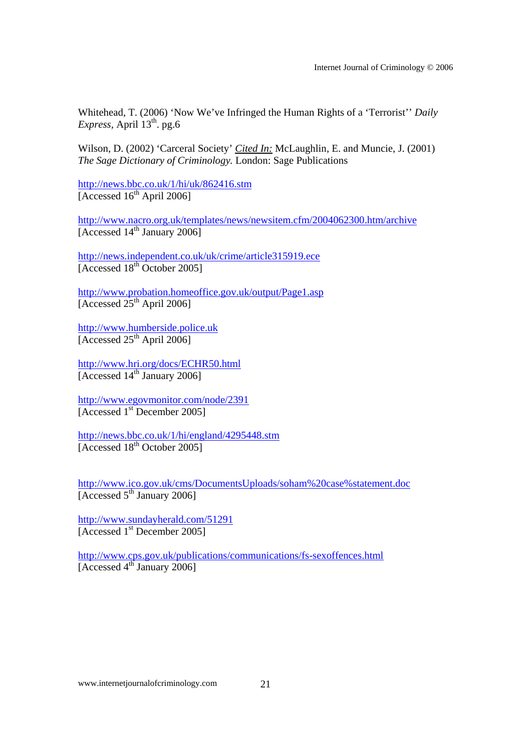Whitehead, T. (2006) 'Now We've Infringed the Human Rights of a 'Terrorist'' *Daily*   $Express, April 13<sup>th</sup>. pg.6$ 

Wilson, D. (2002) 'Carceral Society' *Cited In:* McLaughlin, E. and Muncie, J. (2001) *The Sage Dictionary of Criminology.* London: Sage Publications

http://news.bbc.co.uk/1/hi/uk/862416.stm  $[Accessed 16<sup>th</sup> April 2006]$ 

http://www.nacro.org.uk/templates/news/newsitem.cfm/2004062300.htm/archive  $[Accessed 14<sup>th</sup> January 2006]$ 

http://news.independent.co.uk/uk/crime/article315919.ece [Accessed 18<sup>th</sup> October 2005]

http://www.probation.homeoffice.gov.uk/output/Page1.asp [Accessed  $25<sup>th</sup>$  April 2006]

http://www.humberside.police.uk  $[Accessed 25<sup>th</sup> April 2006]$ 

http://www.hri.org/docs/ECHR50.html [Accessed  $14^{\text{th}}$  January 2006]

http://www.egovmonitor.com/node/2391 [Accessed 1<sup>st</sup> December 2005]

http://news.bbc.co.uk/1/hi/england/4295448.stm [Accessed 18<sup>th</sup> October 2005]

http://www.ico.gov.uk/cms/DocumentsUploads/soham%20case%statement.doc [Accessed  $5<sup>th</sup>$  January 2006]

http://www.sundayherald.com/51291 [Accessed 1<sup>st</sup> December 2005]

http://www.cps.gov.uk/publications/communications/fs-sexoffences.html [Accessed 4<sup>th</sup> January 2006]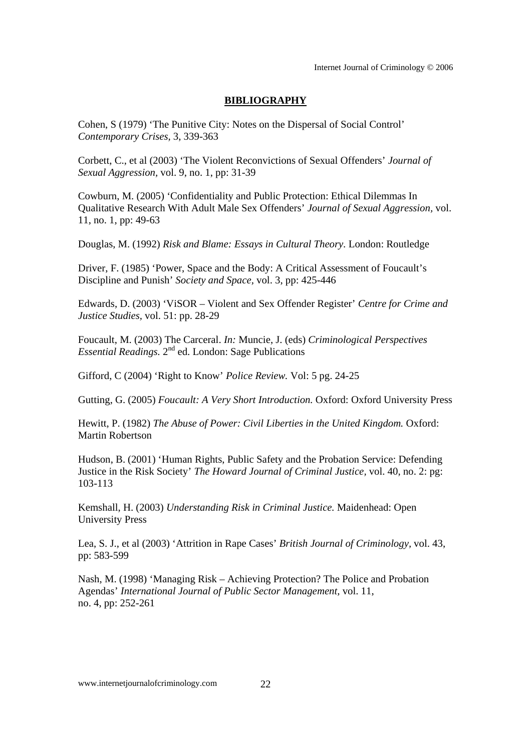## **BIBLIOGRAPHY**

Cohen, S (1979) 'The Punitive City: Notes on the Dispersal of Social Control' *Contemporary Crises,* 3, 339-363

Corbett, C., et al (2003) 'The Violent Reconvictions of Sexual Offenders' *Journal of Sexual Aggression,* vol. 9, no. 1, pp: 31-39

Cowburn, M. (2005) 'Confidentiality and Public Protection: Ethical Dilemmas In Qualitative Research With Adult Male Sex Offenders' *Journal of Sexual Aggression,* vol. 11, no. 1, pp: 49-63

Douglas, M. (1992) *Risk and Blame: Essays in Cultural Theory.* London: Routledge

Driver, F. (1985) 'Power, Space and the Body: A Critical Assessment of Foucault's Discipline and Punish' *Society and Space,* vol. 3, pp: 425-446

Edwards, D. (2003) 'ViSOR – Violent and Sex Offender Register' *Centre for Crime and Justice Studies,* vol. 51: pp. 28-29

Foucault, M. (2003) The Carceral. *In:* Muncie, J. (eds) *Criminological Perspectives Essential Readings.* 2<sup>nd</sup> ed. London: Sage Publications

Gifford, C (2004) 'Right to Know' *Police Review.* Vol: 5 pg. 24-25

Gutting, G. (2005) *Foucault: A Very Short Introduction.* Oxford: Oxford University Press

Hewitt, P. (1982) *The Abuse of Power: Civil Liberties in the United Kingdom.* Oxford: Martin Robertson

Hudson, B. (2001) 'Human Rights, Public Safety and the Probation Service: Defending Justice in the Risk Society' *The Howard Journal of Criminal Justice,* vol. 40, no. 2: pg: 103-113

Kemshall, H. (2003) *Understanding Risk in Criminal Justice.* Maidenhead: Open University Press

Lea, S. J., et al (2003) 'Attrition in Rape Cases' *British Journal of Criminology,* vol. 43, pp: 583-599

Nash, M. (1998) 'Managing Risk – Achieving Protection? The Police and Probation Agendas' *International Journal of Public Sector Management,* vol. 11, no. 4, pp: 252-261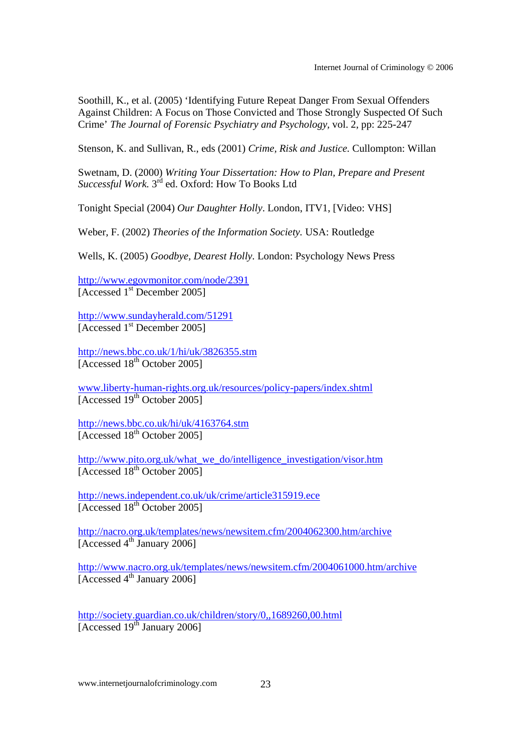Soothill, K., et al. (2005) 'Identifying Future Repeat Danger From Sexual Offenders Against Children: A Focus on Those Convicted and Those Strongly Suspected Of Such Crime' *The Journal of Forensic Psychiatry and Psychology,* vol. 2, pp: 225-247

Stenson, K. and Sullivan, R., eds (2001) *Crime, Risk and Justice.* Cullompton: Willan

Swetnam, D. (2000) *Writing Your Dissertation: How to Plan, Prepare and Present Successful Work.* 3rd ed. Oxford: How To Books Ltd

Tonight Special (2004) *Our Daughter Holly*. London, ITV1, [Video: VHS]

Weber, F. (2002) *Theories of the Information Society.* USA: Routledge

Wells, K. (2005) *Goodbye, Dearest Holly.* London: Psychology News Press

http://www.egovmonitor.com/node/2391 [Accessed 1<sup>st</sup> December 2005]

http://www.sundayherald.com/51291 [Accessed 1<sup>st</sup> December 2005]

http://news.bbc.co.uk/1/hi/uk/3826355.stm [Accessed 18<sup>th</sup> October 2005]

www.liberty-human-rights.org.uk/resources/policy-papers/index.shtml [Accessed 19<sup>th</sup> October 2005]

http://news.bbc.co.uk/hi/uk/4163764.stm  $[Accessed 18<sup>th</sup> October 2005]$ 

http://www.pito.org.uk/what\_we\_do/intelligence\_investigation/visor.htm [Accessed 18th October 2005]

http://news.independent.co.uk/uk/crime/article315919.ece [Accessed 18<sup>th</sup> October 2005]

http://nacro.org.uk/templates/news/newsitem.cfm/2004062300.htm/archive [Accessed  $4^{\text{th}}$  January 2006]

http://www.nacro.org.uk/templates/news/newsitem.cfm/2004061000.htm/archive [Accessed  $4^{\text{th}}$  January 2006]

http://society.guardian.co.uk/children/story/0,,1689260,00.html [Accessed 19<sup>th</sup> January 2006]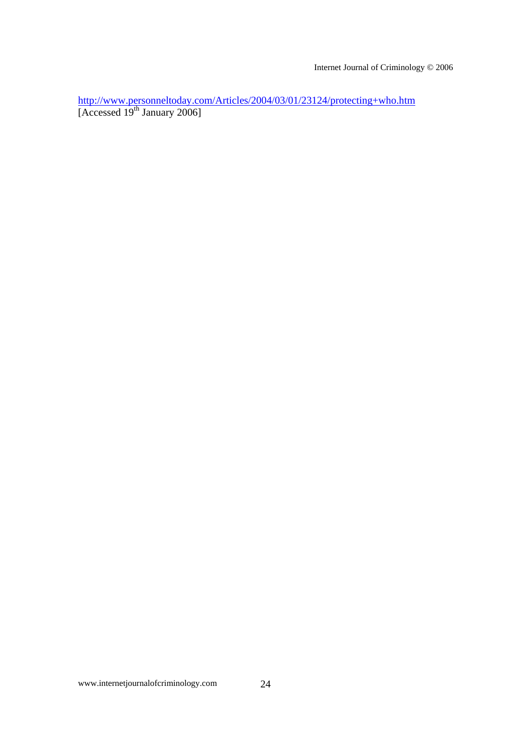Internet Journal of Criminology © 2006

http://www.personneltoday.com/Articles/2004/03/01/23124/protecting+who.htm [Accessed  $19^{th}$  January 2006]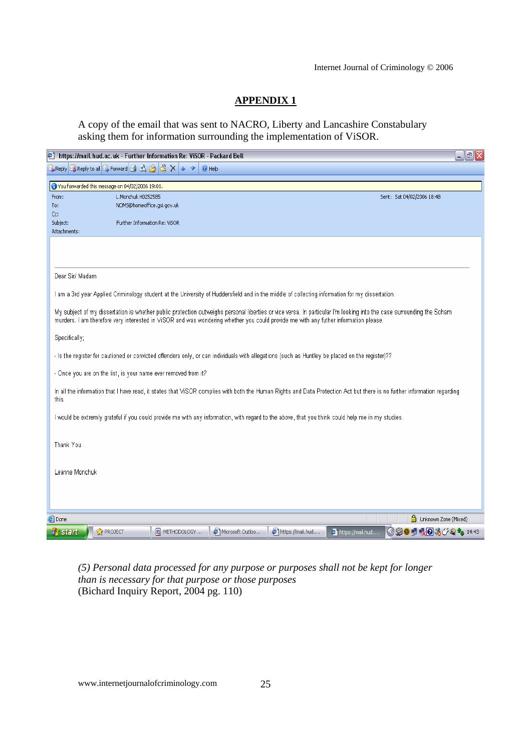# **APPENDIX 1**

A copy of the email that was sent to NACRO, Liberty and Lancashire Constabulary asking them for information surrounding the implementation of ViSOR.

| ē<br>$\mathbf{E} \mathbf{X}$<br>https://mail.hud.ac.uk - Further Information Re: ViSOR - Packard Bell<br>$\blacksquare$                                                                                                                                                                                     |                               |             |                  |                  |                                          |
|-------------------------------------------------------------------------------------------------------------------------------------------------------------------------------------------------------------------------------------------------------------------------------------------------------------|-------------------------------|-------------|------------------|------------------|------------------------------------------|
| <b>A</b> Reply <b>B</b> Reply to all <b>B</b> Forward 日 日 台 区 X<br>C Help<br>                                                                                                                                                                                                                               |                               |             |                  |                  |                                          |
| 3 You forwarded this message on 04/02/2006 19:01.                                                                                                                                                                                                                                                           |                               |             |                  |                  |                                          |
| L.Monchuk H0252585<br>From:<br>Sent: Sat 04/02/2006 18:48                                                                                                                                                                                                                                                   |                               |             |                  |                  |                                          |
| To:                                                                                                                                                                                                                                                                                                         | NOMS@homeoffice.gsi.gov.uk    |             |                  |                  |                                          |
| Cc:<br>Subject:                                                                                                                                                                                                                                                                                             | Further Information Re: ViSOR |             |                  |                  |                                          |
| Attachments:                                                                                                                                                                                                                                                                                                |                               |             |                  |                  |                                          |
|                                                                                                                                                                                                                                                                                                             |                               |             |                  |                  |                                          |
|                                                                                                                                                                                                                                                                                                             |                               |             |                  |                  |                                          |
| Dear Sir/ Madam                                                                                                                                                                                                                                                                                             |                               |             |                  |                  |                                          |
| I am a 3rd year Applied Criminology student at the University of Huddersfield and in the middle of collecting information for my dissertation.                                                                                                                                                              |                               |             |                  |                  |                                          |
| My subject of my dissertation is whether public protection outweighs personal liberties or vice versa. In particular I'm looking into the case surrounding the Soham<br>murders. I am therefore very interested in VISOR and was wondering whether you could provide me with any futher information please. |                               |             |                  |                  |                                          |
| Specifically;                                                                                                                                                                                                                                                                                               |                               |             |                  |                  |                                          |
| - Is the register for cautioned or convicted offenders only, or can individuals with allegations (such as Huntley be placed on the register)??                                                                                                                                                              |                               |             |                  |                  |                                          |
| - Once you are on the list, is your name ever removed from it?                                                                                                                                                                                                                                              |                               |             |                  |                  |                                          |
| In all the information that I have read, it states that ViSOR complies with both the Human Rights and Data Protection Act but there is no further information regarding<br>this.                                                                                                                            |                               |             |                  |                  |                                          |
| I would be extremly grateful if you could provide me with any information, with regard to the above, that you think could help me in my studies.                                                                                                                                                            |                               |             |                  |                  |                                          |
| Thank You                                                                                                                                                                                                                                                                                                   |                               |             |                  |                  |                                          |
| Leanne Monchuk                                                                                                                                                                                                                                                                                              |                               |             |                  |                  |                                          |
|                                                                                                                                                                                                                                                                                                             |                               |             |                  |                  |                                          |
|                                                                                                                                                                                                                                                                                                             |                               |             |                  |                  |                                          |
| e Done<br>Unknown Zone (Mixed)                                                                                                                                                                                                                                                                              |                               |             |                  |                  |                                          |
| <sup>1</sup> start                                                                                                                                                                                                                                                                                          | <b>R</b> PROJECT              | METHODOLOGY | Microsoft Outloo | https://mail.hud | https://mail.hud<br>399 9 5 6 3 5 6 1:43 |

*(5) Personal data processed for any purpose or purposes shall not be kept for longer than is necessary for that purpose or those purposes*  (Bichard Inquiry Report, 2004 pg. 110)